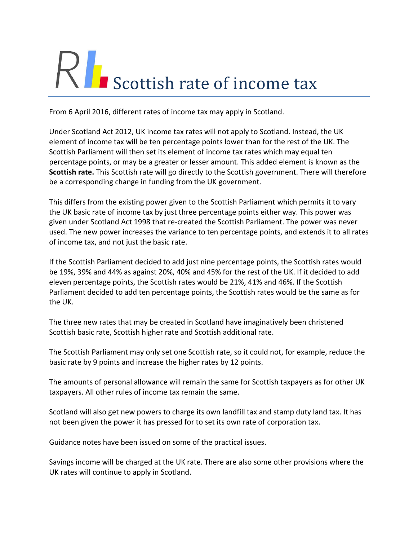# $R$  Scottish rate of income tax

From 6 April 2016, different rates of income tax may apply in Scotland.

Under Scotland Act 2012, UK income tax rates will not apply to Scotland. Instead, the UK element of income tax will be ten percentage points lower than for the rest of the UK. The Scottish Parliament will then set its element of income tax rates which may equal ten percentage points, or may be a greater or lesser amount. This added element is known as the **Scottish rate.** This Scottish rate will go directly to the Scottish government. There will therefore be a corresponding change in funding from the UK government.

This differs from the existing power given to the Scottish Parliament which permits it to vary the UK basic rate of income tax by just three percentage points either way. This power was given under Scotland Act 1998 that re-created the Scottish Parliament. The power was never used. The new power increases the variance to ten percentage points, and extends it to all rates of income tax, and not just the basic rate.

If the Scottish Parliament decided to add just nine percentage points, the Scottish rates would be 19%, 39% and 44% as against 20%, 40% and 45% for the rest of the UK. If it decided to add eleven percentage points, the Scottish rates would be 21%, 41% and 46%. If the Scottish Parliament decided to add ten percentage points, the Scottish rates would be the same as for the UK.

The three new rates that may be created in Scotland have imaginatively been christened Scottish basic rate, Scottish higher rate and Scottish additional rate.

The Scottish Parliament may only set one Scottish rate, so it could not, for example, reduce the basic rate by 9 points and increase the higher rates by 12 points.

The amounts of personal allowance will remain the same for Scottish taxpayers as for other UK taxpayers. All other rules of income tax remain the same.

Scotland will also get new powers to charge its own landfill tax and stamp duty land tax. It has not been given the power it has pressed for to set its own rate of corporation tax.

Guidance notes have been issued on some of the practical issues.

Savings income will be charged at the UK rate. There are also some other provisions where the UK rates will continue to apply in Scotland.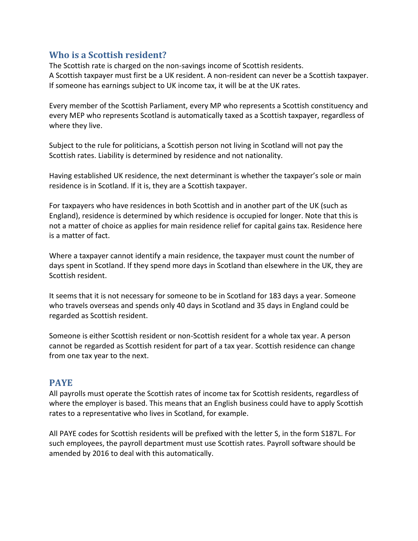# **Who is a Scottish resident?**

The Scottish rate is charged on the non-savings income of Scottish residents. A Scottish taxpayer must first be a UK resident. A non-resident can never be a Scottish taxpayer. If someone has earnings subject to UK income tax, it will be at the UK rates.

Every member of the Scottish Parliament, every MP who represents a Scottish constituency and every MEP who represents Scotland is automatically taxed as a Scottish taxpayer, regardless of where they live.

Subject to the rule for politicians, a Scottish person not living in Scotland will not pay the Scottish rates. Liability is determined by residence and not nationality.

Having established UK residence, the next determinant is whether the taxpayer's sole or main residence is in Scotland. If it is, they are a Scottish taxpayer.

For taxpayers who have residences in both Scottish and in another part of the UK (such as England), residence is determined by which residence is occupied for longer. Note that this is not a matter of choice as applies for main residence relief for capital gains tax. Residence here is a matter of fact.

Where a taxpayer cannot identify a main residence, the taxpayer must count the number of days spent in Scotland. If they spend more days in Scotland than elsewhere in the UK, they are Scottish resident.

It seems that it is not necessary for someone to be in Scotland for 183 days a year. Someone who travels overseas and spends only 40 days in Scotland and 35 days in England could be regarded as Scottish resident.

Someone is either Scottish resident or non-Scottish resident for a whole tax year. A person cannot be regarded as Scottish resident for part of a tax year. Scottish residence can change from one tax year to the next.

## **PAYE**

All payrolls must operate the Scottish rates of income tax for Scottish residents, regardless of where the employer is based. This means that an English business could have to apply Scottish rates to a representative who lives in Scotland, for example.

All PAYE codes for Scottish residents will be prefixed with the letter S, in the form S187L. For such employees, the payroll department must use Scottish rates. Payroll software should be amended by 2016 to deal with this automatically.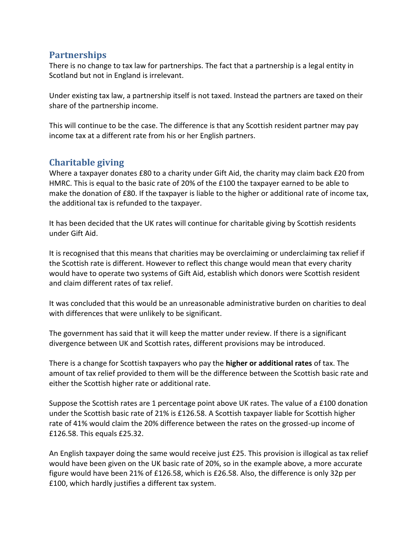## **Partnerships**

There is no change to tax law for partnerships. The fact that a partnership is a legal entity in Scotland but not in England is irrelevant.

Under existing tax law, a partnership itself is not taxed. Instead the partners are taxed on their share of the partnership income.

This will continue to be the case. The difference is that any Scottish resident partner may pay income tax at a different rate from his or her English partners.

# **Charitable giving**

Where a taxpayer donates £80 to a charity under Gift Aid, the charity may claim back £20 from HMRC. This is equal to the basic rate of 20% of the £100 the taxpayer earned to be able to make the donation of £80. If the taxpayer is liable to the higher or additional rate of income tax, the additional tax is refunded to the taxpayer.

It has been decided that the UK rates will continue for charitable giving by Scottish residents under Gift Aid.

It is recognised that this means that charities may be overclaiming or underclaiming tax relief if the Scottish rate is different. However to reflect this change would mean that every charity would have to operate two systems of Gift Aid, establish which donors were Scottish resident and claim different rates of tax relief.

It was concluded that this would be an unreasonable administrative burden on charities to deal with differences that were unlikely to be significant.

The government has said that it will keep the matter under review. If there is a significant divergence between UK and Scottish rates, different provisions may be introduced.

There is a change for Scottish taxpayers who pay the **higher or additional rates** of tax. The amount of tax relief provided to them will be the difference between the Scottish basic rate and either the Scottish higher rate or additional rate.

Suppose the Scottish rates are 1 percentage point above UK rates. The value of a £100 donation under the Scottish basic rate of 21% is £126.58. A Scottish taxpayer liable for Scottish higher rate of 41% would claim the 20% difference between the rates on the grossed-up income of £126.58. This equals £25.32.

An English taxpayer doing the same would receive just £25. This provision is illogical as tax relief would have been given on the UK basic rate of 20%, so in the example above, a more accurate figure would have been 21% of £126.58, which is £26.58. Also, the difference is only 32p per £100, which hardly justifies a different tax system.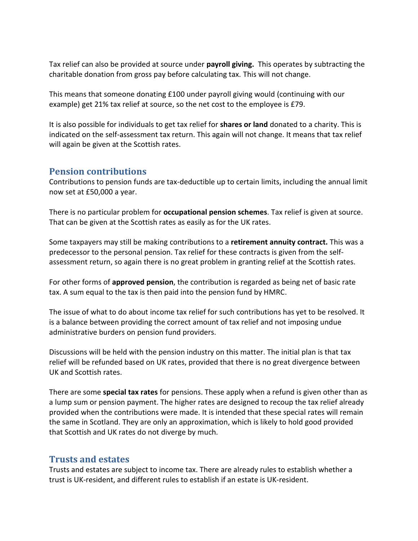Tax relief can also be provided at source under **payroll giving.** This operates by subtracting the charitable donation from gross pay before calculating tax. This will not change.

This means that someone donating £100 under payroll giving would (continuing with our example) get 21% tax relief at source, so the net cost to the employee is £79.

It is also possible for individuals to get tax relief for **shares or land** donated to a charity. This is indicated on the self-assessment tax return. This again will not change. It means that tax relief will again be given at the Scottish rates.

#### **Pension contributions**

Contributions to pension funds are tax-deductible up to certain limits, including the annual limit now set at £50,000 a year.

There is no particular problem for **occupational pension schemes**. Tax relief is given at source. That can be given at the Scottish rates as easily as for the UK rates.

Some taxpayers may still be making contributions to a **retirement annuity contract.** This was a predecessor to the personal pension. Tax relief for these contracts is given from the selfassessment return, so again there is no great problem in granting relief at the Scottish rates.

For other forms of **approved pension**, the contribution is regarded as being net of basic rate tax. A sum equal to the tax is then paid into the pension fund by HMRC.

The issue of what to do about income tax relief for such contributions has yet to be resolved. It is a balance between providing the correct amount of tax relief and not imposing undue administrative burders on pension fund providers.

Discussions will be held with the pension industry on this matter. The initial plan is that tax relief will be refunded based on UK rates, provided that there is no great divergence between UK and Scottish rates.

There are some **special tax rates** for pensions. These apply when a refund is given other than as a lump sum or pension payment. The higher rates are designed to recoup the tax relief already provided when the contributions were made. It is intended that these special rates will remain the same in Scotland. They are only an approximation, which is likely to hold good provided that Scottish and UK rates do not diverge by much.

## **Trusts and estates**

Trusts and estates are subject to income tax. There are already rules to establish whether a trust is UK-resident, and different rules to establish if an estate is UK-resident.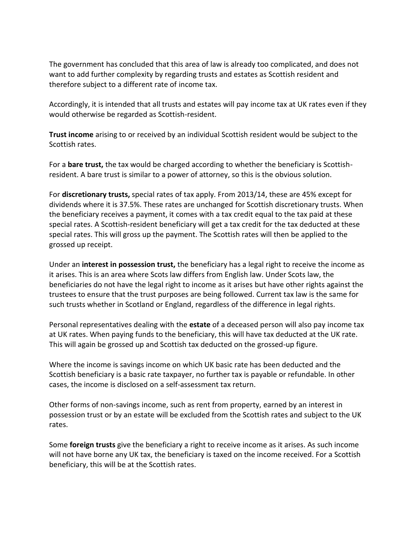The government has concluded that this area of law is already too complicated, and does not want to add further complexity by regarding trusts and estates as Scottish resident and therefore subject to a different rate of income tax.

Accordingly, it is intended that all trusts and estates will pay income tax at UK rates even if they would otherwise be regarded as Scottish-resident.

**Trust income** arising to or received by an individual Scottish resident would be subject to the Scottish rates.

For a **bare trust,** the tax would be charged according to whether the beneficiary is Scottishresident. A bare trust is similar to a power of attorney, so this is the obvious solution.

For **discretionary trusts,** special rates of tax apply. From 2013/14, these are 45% except for dividends where it is 37.5%. These rates are unchanged for Scottish discretionary trusts. When the beneficiary receives a payment, it comes with a tax credit equal to the tax paid at these special rates. A Scottish-resident beneficiary will get a tax credit for the tax deducted at these special rates. This will gross up the payment. The Scottish rates will then be applied to the grossed up receipt.

Under an **interest in possession trust,** the beneficiary has a legal right to receive the income as it arises. This is an area where Scots law differs from English law. Under Scots law, the beneficiaries do not have the legal right to income as it arises but have other rights against the trustees to ensure that the trust purposes are being followed. Current tax law is the same for such trusts whether in Scotland or England, regardless of the difference in legal rights.

Personal representatives dealing with the **estate** of a deceased person will also pay income tax at UK rates. When paying funds to the beneficiary, this will have tax deducted at the UK rate. This will again be grossed up and Scottish tax deducted on the grossed-up figure.

Where the income is savings income on which UK basic rate has been deducted and the Scottish beneficiary is a basic rate taxpayer, no further tax is payable or refundable. In other cases, the income is disclosed on a self-assessment tax return.

Other forms of non-savings income, such as rent from property, earned by an interest in possession trust or by an estate will be excluded from the Scottish rates and subject to the UK rates.

Some **foreign trusts** give the beneficiary a right to receive income as it arises. As such income will not have borne any UK tax, the beneficiary is taxed on the income received. For a Scottish beneficiary, this will be at the Scottish rates.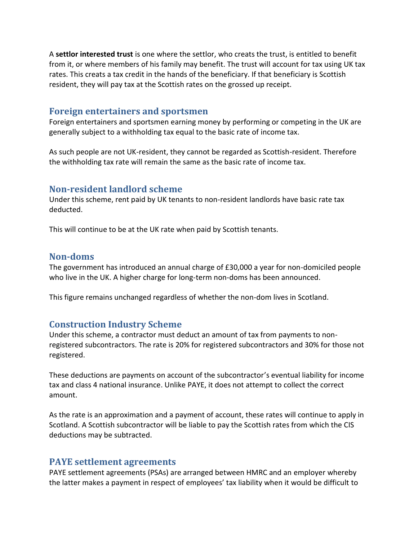A **settlor interested trust** is one where the settlor, who creats the trust, is entitled to benefit from it, or where members of his family may benefit. The trust will account for tax using UK tax rates. This creats a tax credit in the hands of the beneficiary. If that beneficiary is Scottish resident, they will pay tax at the Scottish rates on the grossed up receipt.

#### **Foreign entertainers and sportsmen**

Foreign entertainers and sportsmen earning money by performing or competing in the UK are generally subject to a withholding tax equal to the basic rate of income tax.

As such people are not UK-resident, they cannot be regarded as Scottish-resident. Therefore the withholding tax rate will remain the same as the basic rate of income tax.

#### **Non-resident landlord scheme**

Under this scheme, rent paid by UK tenants to non-resident landlords have basic rate tax deducted.

This will continue to be at the UK rate when paid by Scottish tenants.

#### **Non-doms**

The government has introduced an annual charge of £30,000 a year for non-domiciled people who live in the UK. A higher charge for long-term non-doms has been announced.

This figure remains unchanged regardless of whether the non-dom lives in Scotland.

#### **Construction Industry Scheme**

Under this scheme, a contractor must deduct an amount of tax from payments to nonregistered subcontractors. The rate is 20% for registered subcontractors and 30% for those not registered.

These deductions are payments on account of the subcontractor's eventual liability for income tax and class 4 national insurance. Unlike PAYE, it does not attempt to collect the correct amount.

As the rate is an approximation and a payment of account, these rates will continue to apply in Scotland. A Scottish subcontractor will be liable to pay the Scottish rates from which the CIS deductions may be subtracted.

#### **PAYE settlement agreements**

PAYE settlement agreements (PSAs) are arranged between HMRC and an employer whereby the latter makes a payment in respect of employees' tax liability when it would be difficult to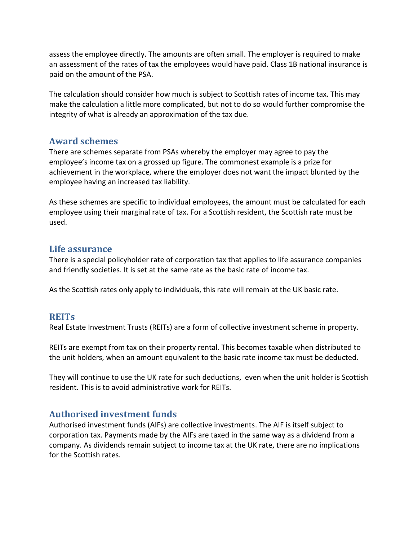assess the employee directly. The amounts are often small. The employer is required to make an assessment of the rates of tax the employees would have paid. Class 1B national insurance is paid on the amount of the PSA.

The calculation should consider how much is subject to Scottish rates of income tax. This may make the calculation a little more complicated, but not to do so would further compromise the integrity of what is already an approximation of the tax due.

## **Award schemes**

There are schemes separate from PSAs whereby the employer may agree to pay the employee's income tax on a grossed up figure. The commonest example is a prize for achievement in the workplace, where the employer does not want the impact blunted by the employee having an increased tax liability.

As these schemes are specific to individual employees, the amount must be calculated for each employee using their marginal rate of tax. For a Scottish resident, the Scottish rate must be used.

## **Life assurance**

There is a special policyholder rate of corporation tax that applies to life assurance companies and friendly societies. It is set at the same rate as the basic rate of income tax.

As the Scottish rates only apply to individuals, this rate will remain at the UK basic rate.

## **REITs**

Real Estate Investment Trusts (REITs) are a form of collective investment scheme in property.

REITs are exempt from tax on their property rental. This becomes taxable when distributed to the unit holders, when an amount equivalent to the basic rate income tax must be deducted.

They will continue to use the UK rate for such deductions, even when the unit holder is Scottish resident. This is to avoid administrative work for REITs.

## **Authorised investment funds**

Authorised investment funds (AIFs) are collective investments. The AIF is itself subject to corporation tax. Payments made by the AIFs are taxed in the same way as a dividend from a company. As dividends remain subject to income tax at the UK rate, there are no implications for the Scottish rates.